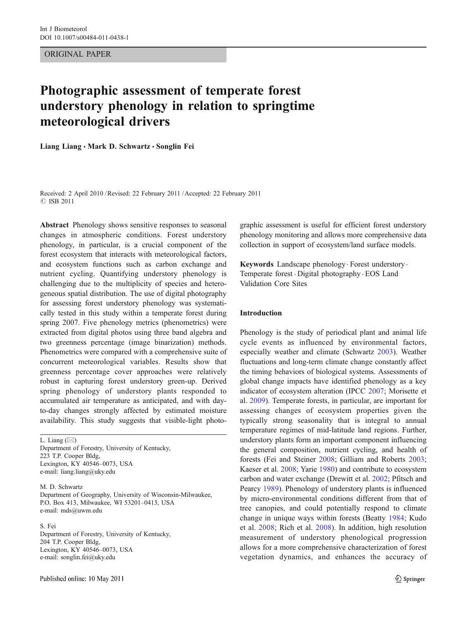ORIGINAL PAPER

# Photographic assessment of temperate forest understory phenology in relation to springtime meteorological drivers

Liang Liang · Mark D. Schwartz · Songlin Fei

Received: 2 April 2010 /Revised: 22 February 2011 /Accepted: 22 February 2011 C ISB 2011

Abstract Phenology shows sensitive responses to seasonal changes in atmospheric conditions. Forest understory phenology, in particular, is a crucial component of the forest ecosystem that interacts with meteorological factors, and ecosystem functions such as carbon exchange and nutrient cycling. Quantifying understory phenology is challenging due to the multiplicity of species and heterogeneous spatial distribution. The use of digital photography for assessing forest understory phenology was systematically tested in this study within a temperate forest during spring 2007. Five phenology metrics (phenometrics) were extracted from digital photos using three band algebra and two greenness percentage (image binarization) methods. Phenometrics were compared with a comprehensive suite of concurrent meteorological variables. Results show that greenness percentage cover approaches were relatively robust in capturing forest understory green-up. Derived spring phenology of understory plants responded to accumulated air temperature as anticipated, and with dayto-day changes strongly affected by estimated moisture availability. This study suggests that visible-light photo-

L. Liang  $(\boxtimes)$ Department of Forestry, University of Kentucky, 223 T.P. Cooper Bldg, Lexington, KY 40546–0073, USA e-mail: liang.liang@uky.edu

M. D. Schwartz Department of Geography, University of Wisconsin-Milwaukee, P.O. Box 413, Milwaukee, WI 53201–0413, USA e-mail: mds@uwm.edu

S. Fei Department of Forestry, University of Kentucky, 204 T.P. Cooper Bldg, Lexington, KY 40546–0073, USA e-mail: songlin.fei@uky.edu

graphic assessment is useful for efficient forest understory phenology monitoring and allows more comprehensive data collection in support of ecosystem/land surface models.

Keywords Landscape phenology. Forest understory . Temperate forest . Digital photography . EOS Land Validation Core Sites

# Introduction

Phenology is the study of periodical plant and animal life cycle events as influenced by environmental factors, especially weather and climate (Schwartz [2003\)](#page-12-0). Weather fluctuations and long-term climate change constantly affect the timing behaviors of biological systems. Assessments of global change impacts have identified phenology as a key indicator of ecosystem alteration (IPCC [2007;](#page-11-0) Morisette et al. [2009\)](#page-11-0). Temperate forests, in particular, are important for assessing changes of ecosystem properties given the typically strong seasonality that is integral to annual temperature regimes of mid-latitude land regions. Further, understory plants form an important component influencing the general composition, nutrient cycling, and health of forests (Fei and Steiner [2008](#page-11-0); Gilliam and Roberts [2003;](#page-11-0) Kaeser et al. [2008](#page-11-0); Yarie [1980](#page-12-0)) and contribute to ecosystem carbon and water exchange (Drewitt et al. [2002;](#page-11-0) Pfitsch and Pearcy [1989\)](#page-11-0). Phenology of understory plants is influenced by micro-environmental conditions different from that of tree canopies, and could potentially respond to climate change in unique ways within forests (Beatty [1984;](#page-11-0) Kudo et al. [2008](#page-11-0); Rich et al. [2008\)](#page-11-0). In addition, high resolution measurement of understory phenological progression allows for a more comprehensive characterization of forest vegetation dynamics, and enhances the accuracy of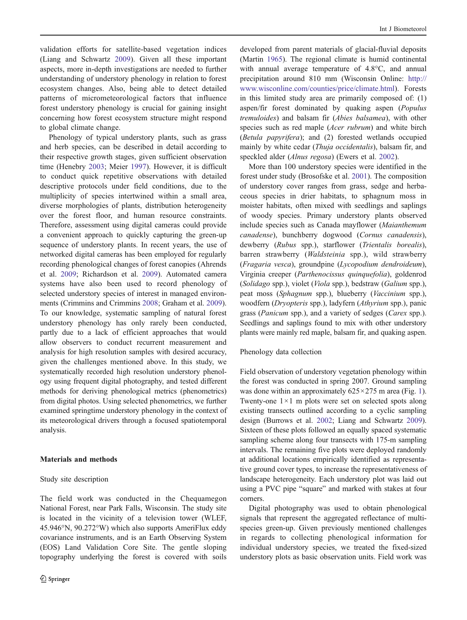validation efforts for satellite-based vegetation indices (Liang and Schwartz [2009\)](#page-11-0). Given all these important aspects, more in-depth investigations are needed to further understanding of understory phenology in relation to forest ecosystem changes. Also, being able to detect detailed patterns of micrometeorological factors that influence forest understory phenology is crucial for gaining insight concerning how forest ecosystem structure might respond to global climate change.

Phenology of typical understory plants, such as grass and herb species, can be described in detail according to their respective growth stages, given sufficient observation time (Henebry [2003](#page-11-0); Meier [1997\)](#page-11-0). However, it is difficult to conduct quick repetitive observations with detailed descriptive protocols under field conditions, due to the multiplicity of species intertwined within a small area, diverse morphologies of plants, distribution heterogeneity over the forest floor, and human resource constraints. Therefore, assessment using digital cameras could provide a convenient approach to quickly capturing the green-up sequence of understory plants. In recent years, the use of networked digital cameras has been employed for regularly recording phenological changes of forest canopies (Ahrends et al. [2009](#page-11-0); Richardson et al. [2009](#page-12-0)). Automated camera systems have also been used to record phenology of selected understory species of interest in managed environments (Crimmins and Crimmins [2008;](#page-11-0) Graham et al. [2009](#page-11-0)). To our knowledge, systematic sampling of natural forest understory phenology has only rarely been conducted, partly due to a lack of efficient approaches that would allow observers to conduct recurrent measurement and analysis for high resolution samples with desired accuracy, given the challenges mentioned above. In this study, we systematically recorded high resolution understory phenology using frequent digital photography, and tested different methods for deriving phenological metrics (phenometrics) from digital photos. Using selected phenometrics, we further examined springtime understory phenology in the context of its meteorological drivers through a focused spatiotemporal analysis.

# Materials and methods

#### Study site description

The field work was conducted in the Chequamegon National Forest, near Park Falls, Wisconsin. The study site is located in the vicinity of a television tower (WLEF, 45.946°N, 90.272°W) which also supports AmeriFlux eddy covariance instruments, and is an Earth Observing System (EOS) Land Validation Core Site. The gentle sloping topography underlying the forest is covered with soils developed from parent materials of glacial-fluvial deposits (Martin [1965](#page-11-0)). The regional climate is humid continental with annual average temperature of 4.8°C, and annual precipitation around 810 mm (Wisconsin Online: [http://](http://www.wisconline.com/counties/price/climate.html) [www.wisconline.com/counties/price/climate.html](http://www.wisconline.com/counties/price/climate.html)). Forests in this limited study area are primarily composed of: (1) aspen/fir forest dominated by quaking aspen (Populus tremuloides) and balsam fir (Abies balsamea), with other species such as red maple (Acer rubrum) and white birch (Betula papyrifera); and (2) forested wetlands occupied mainly by white cedar (*Thuja occidentalis*), balsam fir, and speckled alder (Alnus regosa) (Ewers et al. [2002\)](#page-11-0).

More than 100 understory species were identified in the forest under study (Brosofske et al. [2001\)](#page-11-0). The composition of understory cover ranges from grass, sedge and herbaceous species in drier habitats, to sphagnum moss in moister habitats, often mixed with seedlings and saplings of woody species. Primary understory plants observed include species such as Canada mayflower (Maianthemum canadense), bunchberry dogwood (Cornus canadensis), dewberry (Rubus spp.), starflower (Trientalis borealis), barren strawberry (Waldsteinia spp.), wild strawberry (Fragaria vesca), groundpine (Lycopodium dendroideum), Virginia creeper (Parthenocissus quinquefolia), goldenrod (Solidago spp.), violet (Viola spp.), bedstraw (Galium spp.), peat moss (Sphagnum spp.), blueberry (Vaccinium spp.), woodfern (Dryopteris spp.), ladyfern (Athyrium spp.), panic grass (Panicum spp.), and a variety of sedges (Carex spp.). Seedlings and saplings found to mix with other understory plants were mainly red maple, balsam fir, and quaking aspen.

# Phenology data collection

Field observation of understory vegetation phenology within the forest was conducted in spring 2007. Ground sampling was done within an approximately  $625 \times 275$  m area (Fig. [1\)](#page-2-0). Twenty-one  $1 \times 1$  m plots were set on selected spots along existing transects outlined according to a cyclic sampling design (Burrows et al. [2002;](#page-11-0) Liang and Schwartz [2009\)](#page-11-0). Sixteen of these plots followed an equally spaced systematic sampling scheme along four transects with 175-m sampling intervals. The remaining five plots were deployed randomly at additional locations empirically identified as representative ground cover types, to increase the representativeness of landscape heterogeneity. Each understory plot was laid out using a PVC pipe "square" and marked with stakes at four corners.

Digital photography was used to obtain phenological signals that represent the aggregated reflectance of multispecies green-up. Given previously mentioned challenges in regards to collecting phenological information for individual understory species, we treated the fixed-sized understory plots as basic observation units. Field work was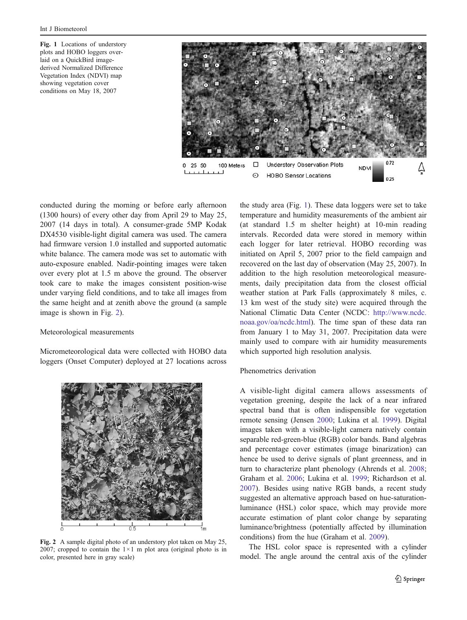<span id="page-2-0"></span>Fig. 1 Locations of understory plots and HOBO loggers overlaid on a QuickBird imagederived Normalized Difference Vegetation Index (NDVI) map showing vegetation cover conditions on May 18, 2007



conducted during the morning or before early afternoon (1300 hours) of every other day from April 29 to May 25, 2007 (14 days in total). A consumer-grade 5MP Kodak DX4530 visible-light digital camera was used. The camera had firmware version 1.0 installed and supported automatic white balance. The camera mode was set to automatic with auto-exposure enabled. Nadir-pointing images were taken over every plot at 1.5 m above the ground. The observer took care to make the images consistent position-wise under varying field conditions, and to take all images from the same height and at zenith above the ground (a sample image is shown in Fig. 2).

#### Meteorological measurements

Micrometeorological data were collected with HOBO data loggers (Onset Computer) deployed at 27 locations across



Fig. 2 A sample digital photo of an understory plot taken on May 25, 2007; cropped to contain the  $1 \times 1$  m plot area (original photo is in color, presented here in gray scale)

the study area (Fig. 1). These data loggers were set to take temperature and humidity measurements of the ambient air (at standard 1.5 m shelter height) at 10-min reading intervals. Recorded data were stored in memory within each logger for later retrieval. HOBO recording was initiated on April 5, 2007 prior to the field campaign and recovered on the last day of observation (May 25, 2007). In addition to the high resolution meteorological measurements, daily precipitation data from the closest official weather station at Park Falls (approximately 8 miles, c. 13 km west of the study site) were acquired through the National Climatic Data Center (NCDC: [http://www.ncdc.](http://www.ncdc.noaa.gov/oa/ncdc.html) [noaa.gov/oa/ncdc.html](http://www.ncdc.noaa.gov/oa/ncdc.html)). The time span of these data ran from January 1 to May 31, 2007. Precipitation data were mainly used to compare with air humidity measurements which supported high resolution analysis.

# Phenometrics derivation

A visible-light digital camera allows assessments of vegetation greening, despite the lack of a near infrared spectral band that is often indispensible for vegetation remote sensing (Jensen [2000](#page-11-0); Lukina et al. [1999](#page-11-0)). Digital images taken with a visible-light camera natively contain separable red-green-blue (RGB) color bands. Band algebras and percentage cover estimates (image binarization) can hence be used to derive signals of plant greenness, and in turn to characterize plant phenology (Ahrends et al. [2008;](#page-11-0) Graham et al. [2006;](#page-11-0) Lukina et al. [1999](#page-11-0); Richardson et al. [2007](#page-11-0)). Besides using native RGB bands, a recent study suggested an alternative approach based on hue-saturationluminance (HSL) color space, which may provide more accurate estimation of plant color change by separating luminance/brightness (potentially affected by illumination conditions) from the hue (Graham et al. [2009\)](#page-11-0).

The HSL color space is represented with a cylinder model. The angle around the central axis of the cylinder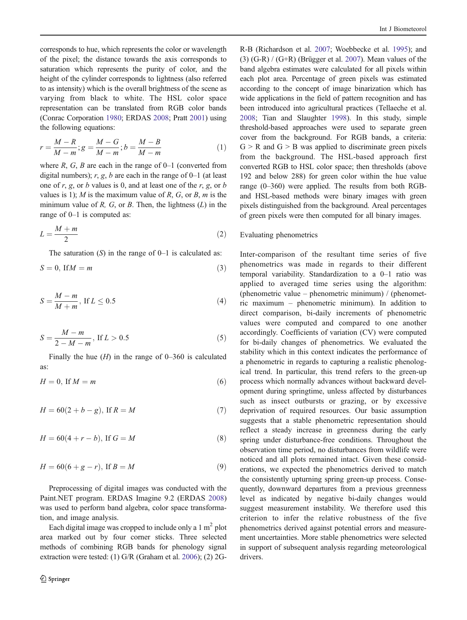corresponds to hue, which represents the color or wavelength of the pixel; the distance towards the axis corresponds to saturation which represents the purity of color, and the height of the cylinder corresponds to lightness (also referred to as intensity) which is the overall brightness of the scene as varying from black to white. The HSL color space representation can be translated from RGB color bands (Conrac Corporation [1980;](#page-11-0) ERDAS [2008](#page-11-0); Pratt [2001\)](#page-11-0) using the following equations:

$$
r = \frac{M - R}{M - m}; g = \frac{M - G}{M - m}; b = \frac{M - B}{M - m}
$$
(1)

where  $R$ ,  $G$ ,  $B$  are each in the range of  $0-1$  (converted from digital numbers);  $r$ ,  $g$ ,  $b$  are each in the range of 0–1 (at least one of r, g, or b values is 0, and at least one of the r, g, or b values is 1);  $M$  is the maximum value of  $R$ ,  $G$ , or  $B$ ,  $m$  is the minimum value of  $R$ ,  $G$ , or  $B$ . Then, the lightness  $(L)$  in the range of 0–1 is computed as:

$$
L = \frac{M+m}{2} \tag{2}
$$

The saturation  $(S)$  in the range of 0–1 is calculated as:

$$
S = 0, \text{ If } M = m \tag{3}
$$

$$
S = \frac{M - m}{M + m}, \text{ If } L \le 0.5 \tag{4}
$$

$$
S = \frac{M - m}{2 - M - m}, \text{ If } L > 0.5
$$
 (5)

Finally the hue  $(H)$  in the range of 0–360 is calculated as:

$$
H = 0, \text{ If } M = m \tag{6}
$$

$$
H = 60(2 + b - g), \text{ If } R = M \tag{7}
$$

$$
H = 60(4 + r - b), \text{ If } G = M \tag{8}
$$

$$
H = 60(6 + g - r), \text{ If } B = M \tag{9}
$$

Preprocessing of digital images was conducted with the Paint.NET program. ERDAS Imagine 9.2 (ERDAS [2008\)](#page-11-0) was used to perform band algebra, color space transformation, and image analysis.

Each digital image was cropped to include only a  $1 \text{ m}^2$  plot area marked out by four corner sticks. Three selected methods of combining RGB bands for phenology signal extraction were tested: (1) G/R (Graham et al. [2006\)](#page-11-0); (2) 2G-

R-B (Richardson et al. [2007](#page-11-0); Woebbecke et al. [1995](#page-12-0)); and  $(3)$  (G-R) / (G+R) (Brügger et al. [2007\)](#page-11-0). Mean values of the band algebra estimates were calculated for all pixels within each plot area. Percentage of green pixels was estimated according to the concept of image binarization which has wide applications in the field of pattern recognition and has been introduced into agricultural practices (Tellaeche et al. [2008;](#page-12-0) Tian and Slaughter [1998](#page-12-0)). In this study, simple threshold-based approaches were used to separate green cover from the background. For RGB bands, a criteria:  $G > R$  and  $G > B$  was applied to discriminate green pixels from the background. The HSL-based approach first converted RGB to HSL color space; then thresholds (above 192 and below 288) for green color within the hue value range (0–360) were applied. The results from both RGBand HSL-based methods were binary images with green pixels distinguished from the background. Areal percentages of green pixels were then computed for all binary images.

#### Evaluating phenometrics

Inter-comparison of the resultant time series of five phenometrics was made in regards to their different temporal variability. Standardization to a 0–1 ratio was applied to averaged time series using the algorithm: (phenometric value – phenometric minimum) / (phenometric maximum – phenometric minimum). In addition to direct comparison, bi-daily increments of phenometric values were computed and compared to one another accordingly. Coefficients of variation (CV) were computed for bi-daily changes of phenometrics. We evaluated the stability which in this context indicates the performance of a phenometric in regards to capturing a realistic phenological trend. In particular, this trend refers to the green-up process which normally advances without backward development during springtime, unless affected by disturbances such as insect outbursts or grazing, or by excessive deprivation of required resources. Our basic assumption suggests that a stable phenometric representation should reflect a steady increase in greenness during the early spring under disturbance-free conditions. Throughout the observation time period, no disturbances from wildlife were noticed and all plots remained intact. Given these considerations, we expected the phenometrics derived to match the consistently upturning spring green-up process. Consequently, downward departures from a previous greenness level as indicated by negative bi-daily changes would suggest measurement instability. We therefore used this criterion to infer the relative robustness of the five phenometrics derived against potential errors and measurement uncertainties. More stable phenometrics were selected in support of subsequent analysis regarding meteorological drivers.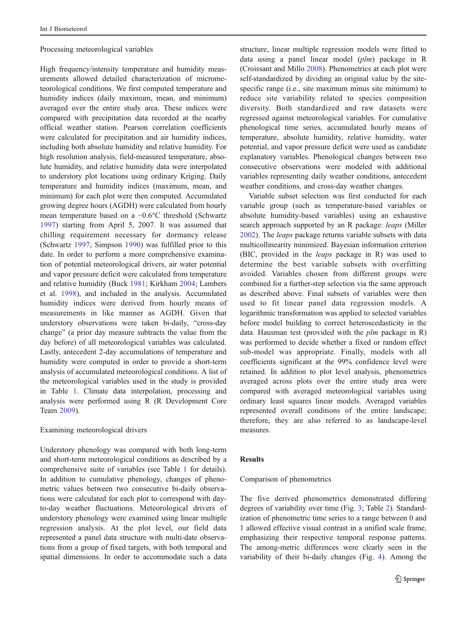#### Processing meteorological variables

High frequency/intensity temperature and humidity measurements allowed detailed characterization of micrometeorological conditions. We first computed temperature and humidity indices (daily maximum, mean, and minimum) averaged over the entire study area. These indices were compared with precipitation data recorded at the nearby official weather station. Pearson correlation coefficients were calculated for precipitation and air humidity indices, including both absolute humidity and relative humidity. For high resolution analysis, field-measured temperature, absolute humidity, and relative humidity data were interpolated to understory plot locations using ordinary Kriging. Daily temperature and humidity indices (maximum, mean, and minimum) for each plot were then computed. Accumulated growing degree hours (AGDH) were calculated from hourly mean temperature based on a −0.6°C threshold (Schwartz [1997\)](#page-12-0) starting from April 5, 2007. It was assumed that chilling requirement necessary for dormancy release (Schwartz [1997;](#page-12-0) Simpson [1990](#page-12-0)) was fulfilled prior to this date. In order to perform a more comprehensive examination of potential meteorological drivers, air water potential and vapor pressure deficit were calculated from temperature and relative humidity (Buck [1981;](#page-11-0) Kirkham [2004](#page-11-0); Lambers et al. [1998\)](#page-11-0), and included in the analysis. Accumulated humidity indices were derived from hourly means of measurements in like manner as AGDH. Given that understory observations were taken bi-daily, "cross-day change" (a prior day measure subtracts the value from the day before) of all meteorological variables was calculated. Lastly, antecedent 2-day accumulations of temperature and humidity were computed in order to provide a short-term analysis of accumulated meteorological conditions. A list of the meteorological variables used in the study is provided in Table [1](#page-5-0). Climate data interpolation, processing and analysis were performed using R (R Development Core Team [2009](#page-11-0)).

## Examining meteorological drivers

Understory phenology was compared with both long-term and short-term meteorological conditions as described by a comprehensive suite of variables (see Table [1](#page-5-0) for details). In addition to cumulative phenology, changes of phenometric values between two consecutive bi-daily observations were calculated for each plot to correspond with dayto-day weather fluctuations. Meteorological drivers of understory phenology were examined using linear multiple regression analysis. At the plot level, our field data represented a panel data structure with multi-date observations from a group of fixed targets, with both temporal and spatial dimensions. In order to accommodate such a data

structure, linear multiple regression models were fitted to data using a panel linear model  $(\text{plm})$  package in R (Croissant and Millo [2008](#page-11-0)). Phenometrics at each plot were self-standardized by dividing an original value by the sitespecific range (i.e., site maximum minus site minimum) to reduce site variability related to species composition diversity. Both standardized and raw datasets were regressed against meteorological variables. For cumulative phenological time series, accumulated hourly means of temperature, absolute humidity, relative humidity, water potential, and vapor pressure deficit were used as candidate explanatory variables. Phenological changes between two consecutive observations were modeled with additional variables representing daily weather conditions, antecedent weather conditions, and cross-day weather changes.

Variable subset selection was first conducted for each variable group (such as temperature-based variables or absolute humidity-based variables) using an exhaustive search approach supported by an R package: leaps (Miller [2002](#page-11-0)). The leaps package returns variable subsets with data multicollinearity minimized. Bayesian information criterion (BIC, provided in the leaps package in R) was used to determine the best variable subsets with overfitting avoided. Variables chosen from different groups were combined for a further-step selection via the same approach as described above. Final subsets of variables were then used to fit linear panel data regression models. A logarithmic transformation was applied to selected variables before model building to correct heteroscedasticity in the data. Hausman test (provided with the  $plm$  package in R) was performed to decide whether a fixed or random effect sub-model was appropriate. Finally, models with all coefficients significant at the 99% confidence level were retained. In addition to plot level analysis, phenometrics averaged across plots over the entire study area were compared with averaged meteorological variables using ordinary least squares linear models. Averaged variables represented overall conditions of the entire landscape; therefore, they are also referred to as landscape-level measures.

## Results

#### Comparison of phenometrics

The five derived phenometrics demonstrated differing degrees of variability over time (Fig. [3;](#page-5-0) Table [2](#page-6-0)). Standardization of phenometric time series to a range between 0 and 1 allowed effective visual contrast in a unified scale frame, emphasizing their respective temporal response patterns. The among-metric differences were clearly seen in the variability of their bi-daily changes (Fig. [4](#page-6-0)). Among the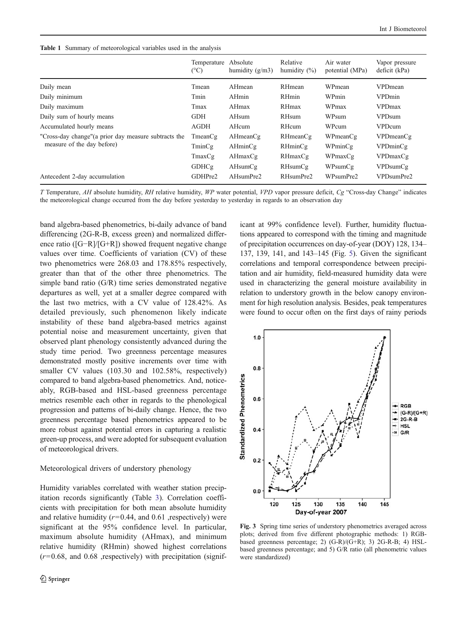<span id="page-5-0"></span>

|                                                       | Temperature<br>$(^{\circ}C)$ | Absolute<br>humidity $(g/m3)$ | Relative<br>humidity $(\%)$ | Air water<br>potential (MPa) | Vapor pressure<br>deficit (kPa) |
|-------------------------------------------------------|------------------------------|-------------------------------|-----------------------------|------------------------------|---------------------------------|
| Daily mean                                            | Tmean                        | AHmean                        | <b>RH</b> mean              | WPmean                       | VPDmean                         |
| Daily minimum                                         | Tmin                         | AHmin                         | RHmin                       | WPmin                        | <b>VPDmin</b>                   |
| Daily maximum                                         | Tmax                         | AHmax                         | RHmax                       | WPmax                        | <b>VPDmax</b>                   |
| Daily sum of hourly means                             | <b>GDH</b>                   | AHsum                         | RHsum                       | WPsum                        | <b>VPD</b> sum                  |
| Accumulated hourly means                              | <b>AGDH</b>                  | AHcum                         | <b>RH</b> cum               | WPcum                        | <b>VPDcum</b>                   |
| "Cross-day change" (a prior day measure subtracts the | TmeanCg                      | AHmeanCg                      | $R$ Hmean $C$ g             | WPmeanCg                     | <b>VPD</b> meanCg               |
| measure of the day before)                            | TminCg                       | AHminCg                       | RHminCg                     | WPminCg                      | VPDminCg                        |
|                                                       | TmaxCg                       | AHmaxCg                       | RHmaxCg                     | WPmaxCg                      | VPDmaxCg                        |
|                                                       | GDHCg                        | AHsumCg                       | <b>RHsumCg</b>              | WPsumCg                      | <b>VPD</b> sumCg                |
| Antecedent 2-day accumulation                         | GDHPre2                      | AH <sub>sumPre2</sub>         | RH <sub>sum</sub> Pre2      | WP <sub>sumPre2</sub>        | VPD <sub>sumPre2</sub>          |

T Temperature, AH absolute humidity, RH relative humidity, WP water potential, VPD vapor pressure deficit, Cg "Cross-day Change" indicates the meteorological change occurred from the day before yesterday to yesterday in regards to an observation day

band algebra-based phenometrics, bi-daily advance of band differencing (2G-R-B, excess green) and normalized difference ratio ([G−R]/[G+R]) showed frequent negative change values over time. Coefficients of variation (CV) of these two phenometrics were 268.03 and 178.85% respectively, greater than that of the other three phenometrics. The simple band ratio (G/R) time series demonstrated negative departures as well, yet at a smaller degree compared with the last two metrics, with a CV value of 128.42%. As detailed previously, such phenomenon likely indicate instability of these band algebra-based metrics against potential noise and measurement uncertainty, given that observed plant phenology consistently advanced during the study time period. Two greenness percentage measures demonstrated mostly positive increments over time with smaller CV values (103.30 and 102.58%, respectively) compared to band algebra-based phenometrics. And, noticeably, RGB-based and HSL-based greenness percentage metrics resemble each other in regards to the phenological progression and patterns of bi-daily change. Hence, the two greenness percentage based phenometrics appeared to be more robust against potential errors in capturing a realistic green-up process, and were adopted for subsequent evaluation of meteorological drivers.

## Meteorological drivers of understory phenology

Humidity variables correlated with weather station precipitation records significantly (Table [3](#page-7-0)). Correlation coefficients with precipitation for both mean absolute humidity and relative humidity  $(r=0.44, \text{ and } 0.61, \text{respectively})$  were significant at the 95% confidence level. In particular, maximum absolute humidity (AHmax), and minimum relative humidity (RHmin) showed highest correlations  $(r=0.68,$  and  $0.68$  , respectively) with precipitation (significant at 99% confidence level). Further, humidity fluctuations appeared to correspond with the timing and magnitude of precipitation occurrences on day-of-year (DOY) 128, 134– 137, 139, 141, and 143–145 (Fig. [5](#page-7-0)). Given the significant correlations and temporal correspondence between precipitation and air humidity, field-measured humidity data were used in characterizing the general moisture availability in relation to understory growth in the below canopy environment for high resolution analysis. Besides, peak temperatures were found to occur often on the first days of rainy periods



Fig. 3 Spring time series of understory phenometrics averaged across plots; derived from five different photographic methods: 1) RGBbased greenness percentage; 2) (G-R)/(G+R); 3) 2G-R-B; 4) HSLbased greenness percentage; and 5) G/R ratio (all phenometric values were standardized)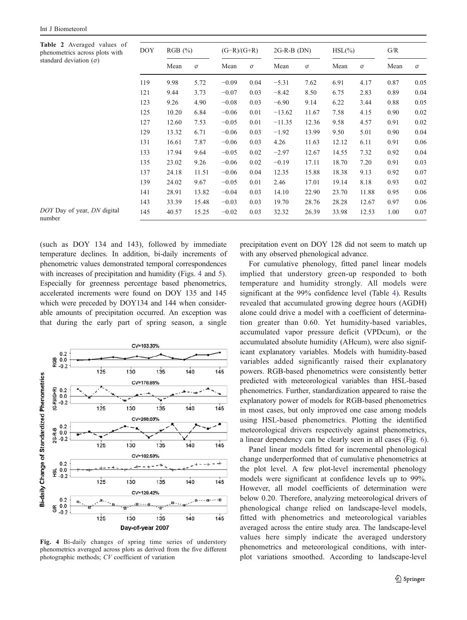number

<span id="page-6-0"></span>

| <b>Table 2</b> Averaged values of<br>phenometrics across plots with | <b>DOY</b> | RGB (%) |          | $(G-R)/(G+R)$ |          | $2G-R-B$ (DN) |          | $HSL(\%)$ |          | G/R  |          |
|---------------------------------------------------------------------|------------|---------|----------|---------------|----------|---------------|----------|-----------|----------|------|----------|
| standard deviation $(\sigma)$                                       |            | Mean    | $\sigma$ | Mean          | $\sigma$ | Mean          | $\sigma$ | Mean      | $\sigma$ | Mean | $\sigma$ |
|                                                                     | 119        | 9.98    | 5.72     | $-0.09$       | 0.04     | $-5.31$       | 7.62     | 6.91      | 4.17     | 0.87 | 0.05     |
|                                                                     | 121        | 9.44    | 3.73     | $-0.07$       | 0.03     | $-8.42$       | 8.50     | 6.75      | 2.83     | 0.89 | 0.04     |
|                                                                     | 123        | 9.26    | 4.90     | $-0.08$       | 0.03     | $-6.90$       | 9.14     | 6.22      | 3.44     | 0.88 | 0.05     |
|                                                                     | 125        | 10.20   | 6.84     | $-0.06$       | 0.01     | $-13.62$      | 11.67    | 7.58      | 4.15     | 0.90 | 0.02     |
|                                                                     | 127        | 12.60   | 7.53     | $-0.05$       | 0.01     | $-11.35$      | 12.36    | 9.58      | 4.57     | 0.91 | 0.02     |
|                                                                     | 129        | 13.32   | 6.71     | $-0.06$       | 0.03     | $-1.92$       | 13.99    | 9.50      | 5.01     | 0.90 | 0.04     |
|                                                                     | 131        | 16.61   | 7.87     | $-0.06$       | 0.03     | 4.26          | 11.63    | 12.12     | 6.11     | 0.91 | 0.06     |
|                                                                     | 133        | 17.94   | 9.64     | $-0.05$       | 0.02     | $-2.97$       | 12.67    | 14.55     | 7.32     | 0.92 | 0.04     |
|                                                                     | 135        | 23.02   | 9.26     | $-0.06$       | 0.02     | $-0.19$       | 17.11    | 18.70     | 7.20     | 0.91 | 0.03     |
|                                                                     | 137        | 24.18   | 11.51    | $-0.06$       | 0.04     | 12.35         | 15.88    | 18.38     | 9.13     | 0.92 | 0.07     |
|                                                                     | 139        | 24.02   | 9.67     | $-0.05$       | 0.01     | 2.46          | 17.01    | 19.14     | 8.18     | 0.93 | 0.02     |
|                                                                     | 141        | 28.91   | 13.82    | $-0.04$       | 0.03     | 14.10         | 22.90    | 23.70     | 11.88    | 0.95 | 0.06     |
|                                                                     | 143        | 33.39   | 15.48    | $-0.03$       | 0.03     | 19.70         | 28.76    | 28.28     | 12.67    | 0.97 | 0.06     |
| DOY Day of year, DN digital<br>numher                               | 145        | 40.57   | 15.25    | $-0.02$       | 0.03     | 32.32         | 26.39    | 33.98     | 12.53    | 1.00 | 0.07     |

(such as DOY 134 and 143), followed by immediate temperature declines. In addition, bi-daily increments of phenometric values demonstrated temporal correspondences with increases of precipitation and humidity (Figs. 4 and [5\)](#page-7-0). Especially for greenness percentage based phenometrics, accelerated increments were found on DOY 135 and 145 which were preceded by DOY134 and 144 when considerable amounts of precipitation occurred. An exception was that during the early part of spring season, a single



Fig. 4 Bi-daily changes of spring time series of understory phenometrics averaged across plots as derived from the five different photographic methods; CV coefficient of variation

precipitation event on DOY 128 did not seem to match up with any observed phenological advance.

For cumulative phenology, fitted panel linear models implied that understory green-up responded to both temperature and humidity strongly. All models were significant at the 99% confidence level (Table [4](#page-8-0)). Results revealed that accumulated growing degree hours (AGDH) alone could drive a model with a coefficient of determination greater than 0.60. Yet humidity-based variables, accumulated vapor pressure deficit (VPDcum), or the accumulated absolute humidity (AHcum), were also significant explanatory variables. Models with humidity-based variables added significantly raised their explanatory powers. RGB-based phenometrics were consistently better predicted with meteorological variables than HSL-based phenometrics. Further, standardization appeared to raise the explanatory power of models for RGB-based phenometrics in most cases, but only improved one case among models using HSL-based phenometrics. Plotting the identified meteorological drivers respectively against phenometrics, a linear dependency can be clearly seen in all cases (Fig. [6](#page-8-0)).

Panel linear models fitted for incremental phenological change underperformed that of cumulative phenometrics at the plot level. A few plot-level incremental phenology models were significant at confidence levels up to 99%. However, all model coefficients of determination were below 0.20. Therefore, analyzing meteorological drivers of phenological change relied on landscape-level models, fitted with phenometrics and meteorological variables averaged across the entire study area. The landscape-level values here simply indicate the averaged understory phenometrics and meteorological conditions, with interplot variations smoothed. According to landscape-level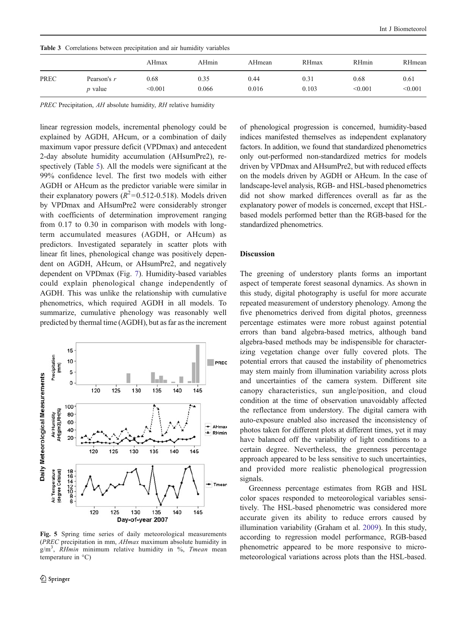|      | Twore c correlations overries presipression and an number, remember | AHmax   | AHmin | AHmean | RHmax | RHmin   | RHmean  |
|------|---------------------------------------------------------------------|---------|-------|--------|-------|---------|---------|
| PREC | Pearson's r                                                         | 0.68    | 0.35  | 0.44   | 0.31  | 0.68    | 0.61    |
|      | <i>p</i> value                                                      | < 0.001 | 0.066 | 0.016  | 0.103 | < 0.001 | < 0.001 |

<span id="page-7-0"></span>Table 3 Correlations between precipitation and air humidity variables

PREC Precipitation, AH absolute humidity, RH relative humidity

linear regression models, incremental phenology could be explained by AGDH, AHcum, or a combination of daily maximum vapor pressure deficit (VPDmax) and antecedent 2-day absolute humidity accumulation (AHsumPre2), respectively (Table [5\)](#page-9-0). All the models were significant at the 99% confidence level. The first two models with either AGDH or AHcum as the predictor variable were similar in their explanatory powers  $(R^2=0.512-0.518)$ . Models driven by VPDmax and AHsumPre2 were considerably stronger with coefficients of determination improvement ranging from 0.17 to 0.30 in comparison with models with longterm accumulated measures (AGDH, or AHcum) as predictors. Investigated separately in scatter plots with linear fit lines, phenological change was positively dependent on AGDH, AHcum, or AHsumPre2, and negatively dependent on VPDmax (Fig. [7\)](#page-9-0). Humidity-based variables could explain phenological change independently of AGDH. This was unlike the relationship with cumulative phenometrics, which required AGDH in all models. To summarize, cumulative phenology was reasonably well predicted by thermal time (AGDH), but as far as the increment



Fig. 5 Spring time series of daily meteorological measurements (PREC precipitation in mm, AHmax maximum absolute humidity in  $g/m<sup>3</sup>$ , RHmin minimum relative humidity in %, Tmean mean temperature in  $^{\circ}$ C)

of phenological progression is concerned, humidity-based indices manifested themselves as independent explanatory factors. In addition, we found that standardized phenometrics only out-performed non-standardized metrics for models driven by VPDmax and AHsumPre2, but with reduced effects on the models driven by AGDH or AHcum. In the case of landscape-level analysis, RGB- and HSL-based phenometrics did not show marked differences overall as far as the explanatory power of models is concerned, except that HSLbased models performed better than the RGB-based for the standardized phenometrics.

# **Discussion**

The greening of understory plants forms an important aspect of temperate forest seasonal dynamics. As shown in this study, digital photography is useful for more accurate repeated measurement of understory phenology. Among the five phenometrics derived from digital photos, greenness percentage estimates were more robust against potential errors than band algebra-based metrics, although band algebra-based methods may be indispensible for characterizing vegetation change over fully covered plots. The potential errors that caused the instability of phenometrics may stem mainly from illumination variability across plots and uncertainties of the camera system. Different site canopy characteristics, sun angle/position, and cloud condition at the time of observation unavoidably affected the reflectance from understory. The digital camera with auto-exposure enabled also increased the inconsistency of photos taken for different plots at different times, yet it may have balanced off the variability of light conditions to a certain degree. Nevertheless, the greenness percentage approach appeared to be less sensitive to such uncertainties, and provided more realistic phenological progression signals.

Greenness percentage estimates from RGB and HSL color spaces responded to meteorological variables sensitively. The HSL-based phenometric was considered more accurate given its ability to reduce errors caused by illumination variability (Graham et al. [2009\)](#page-11-0). In this study, according to regression model performance, RGB-based phenometric appeared to be more responsive to micrometeorological variations across plots than the HSL-based.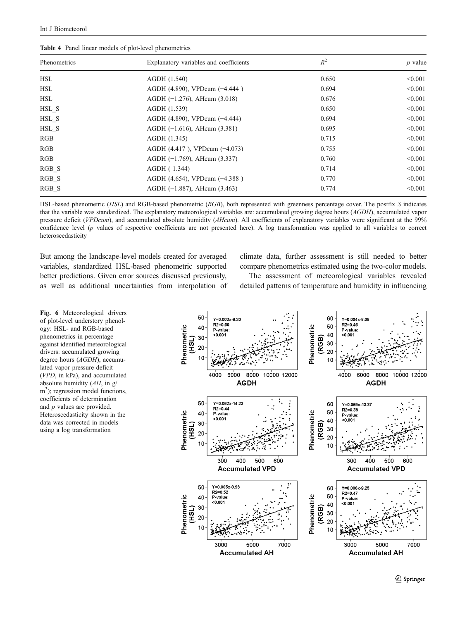| Phenometrics | Explanatory variables and coefficients | $R^2$ | $p$ value |
|--------------|----------------------------------------|-------|-----------|
| <b>HSL</b>   | AGDH $(1.540)$                         | 0.650 | < 0.001   |
| <b>HSL</b>   | AGDH (4.890), VPDcum (-4.444)          | 0.694 | < 0.001   |
| <b>HSL</b>   | $AGDH$ (-1.276), AHcum (3.018)         | 0.676 | < 0.001   |
| HSL S        | AGDH (1.539)                           | 0.650 | < 0.001   |
| HSL S        | AGDH (4.890), VPDcum (-4.444)          | 0.694 | < 0.001   |
| HSL S        | $AGDH$ (-1.616), AHcum (3.381)         | 0.695 | < 0.001   |
| RGB          | AGDH (1.345)                           | 0.715 | < 0.001   |
| RGB          | $AGDH$ (4.417), VPDcum (-4.073)        | 0.755 | < 0.001   |
| RGB          | $AGDH$ (-1.769), AHcum (3.337)         | 0.760 | < 0.001   |
| RGB S        | AGDH (1.344)                           | 0.714 | < 0.001   |
| RGB S        | $AGDH$ (4.654), VPDcum (-4.388)        | 0.770 | < 0.001   |
| RGB S        | $AGDH$ (-1.887), AHcum (3.463)         | 0.774 | < 0.001   |

<span id="page-8-0"></span>Table 4 Panel linear models of plot-level phenometrics

HSL-based phenometric (HSL) and RGB-based phenometric (RGB), both represented with greenness percentage cover. The postfix S indicates that the variable was standardized. The explanatory meteorological variables are: accumulated growing degree hours (AGDH), accumulated vapor pressure deficit (VPDcum), and accumulated absolute humidity (AHcum). All coefficients of explanatory variables were significant at the 99% confidence level (p values of respective coefficients are not presented here). A log transformation was applied to all variables to correct heteroscedasticity

But among the landscape-level models created for averaged variables, standardized HSL-based phenometric supported better predictions. Given error sources discussed previously, as well as additional uncertainties from interpolation of climate data, further assessment is still needed to better compare phenometrics estimated using the two-color models.

The assessment of meteorological variables revealed detailed patterns of temperature and humidity in influencing

Fig. 6 Meteorological drivers of plot-level understory phenology: HSL- and RGB-based phenometrics in percentage against identified meteorological drivers: accumulated growing degree hours (AGDH), accumulated vapor pressure deficit (VPD, in kPa), and accumulated absolute humidity  $(AH, \text{ in } g)$ m<sup>3</sup>); regression model functions, coefficients of determination and  $p$  values are provided. Heteroscedasticity shown in the data was corrected in models using a log transformation

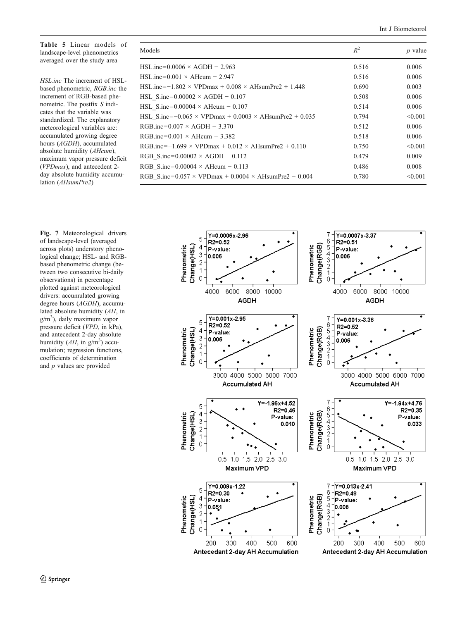<span id="page-9-0"></span>Table 5 Linear models of landscape-level phenometrics averaged over the study area

HSL.inc The increment of HSLbased phenometric, RGB.inc the increment of RGB-based phenometric. The postfix S indicates that the variable was standardized. The explanatory meteorological variables are: accumulated growing degree hours (AGDH), accumulated absolute humidity (AHcum), maximum vapor pressure deficit (VPDmax), and antecedent 2 day absolute humidity accumulation (AHsumPre2)

Fig. 7 Meteorological drivers of landscape-level (averaged across plots) understory phenological change; HSL- and RGBbased phenometric change (between two consecutive bi-daily observations) in percentage plotted against meteorological drivers: accumulated growing degree hours (AGDH), accumulated absolute humidity (AH, in g/m3 ), daily maximum vapor pressure deficit (VPD, in kPa), and antecedent 2-day absolute humidity  $(AH, \text{ in } g/m^3)$  accumulation; regression functions, coefficients of determination and p values are provided

| Models                                                                            | $R^2$ | $p$ value |
|-----------------------------------------------------------------------------------|-------|-----------|
| HSL inc=0.0006 $\times$ AGDH - 2.963                                              | 0.516 | 0.006     |
| $\text{HSL}$ inc=0.001 $\times$ AHcum - 2.947                                     | 0.516 | 0.006     |
| HSL inc= $-1.802 \times VPDmax + 0.008 \times AHsumPre2 + 1.448$                  | 0.690 | 0.003     |
| HSL S.inc= $0.00002 \times \text{AGDH} = 0.107$                                   | 0.508 | 0.006     |
| HSL S.inc= $0.00004 \times$ AHcum - 0.107                                         | 0.514 | 0.006     |
| HSL S.inc= $-0.065 \times \text{VPDmax} + 0.0003 \times \text{AHsumPre2} + 0.035$ | 0.794 | < 0.001   |
| $RGB.inc=0.007 \times AGDH - 3.370$                                               | 0.512 | 0.006     |
| $RGB.inc=0.001 \times AHcum = 3.382$                                              | 0.518 | 0.006     |
| RGB.inc=-1.699 $\times$ VPDmax + 0.012 $\times$ AHsumPre2 + 0.110                 | 0.750 | < 0.001   |
| RGB S.inc=0.00002 $\times$ AGDH - 0.112                                           | 0.479 | 0.009     |
| RGB S.inc=0.00004 $\times$ AHcum - 0.113                                          | 0.486 | 0.008     |
| RGB S.inc=0.057 $\times$ VPDmax + 0.0004 $\times$ AHsumPre2 - 0.004               | 0.780 | < 0.001   |

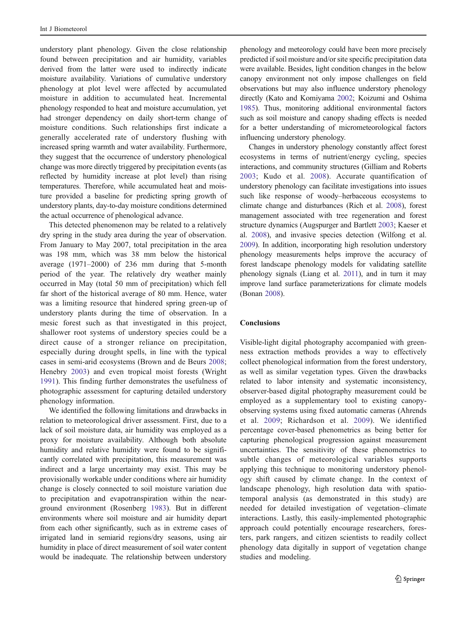understory plant phenology. Given the close relationship found between precipitation and air humidity, variables derived from the latter were used to indirectly indicate moisture availability. Variations of cumulative understory phenology at plot level were affected by accumulated moisture in addition to accumulated heat. Incremental phenology responded to heat and moisture accumulation, yet had stronger dependency on daily short-term change of moisture conditions. Such relationships first indicate a generally accelerated rate of understory flushing with increased spring warmth and water availability. Furthermore, they suggest that the occurrence of understory phenological change was more directly triggered by precipitation events (as reflected by humidity increase at plot level) than rising temperatures. Therefore, while accumulated heat and moisture provided a baseline for predicting spring growth of understory plants, day-to-day moisture conditions determined the actual occurrence of phenological advance.

This detected phenomenon may be related to a relatively dry spring in the study area during the year of observation. From January to May 2007, total precipitation in the area was 198 mm, which was 38 mm below the historical average (1971–2000) of 236 mm during that 5-month period of the year. The relatively dry weather mainly occurred in May (total 50 mm of precipitation) which fell far short of the historical average of 80 mm. Hence, water was a limiting resource that hindered spring green-up of understory plants during the time of observation. In a mesic forest such as that investigated in this project, shallower root systems of understory species could be a direct cause of a stronger reliance on precipitation, especially during drought spells, in line with the typical cases in semi-arid ecosystems (Brown and de Beurs [2008](#page-11-0); Henebry [2003\)](#page-11-0) and even tropical moist forests (Wright [1991](#page-12-0)). This finding further demonstrates the usefulness of photographic assessment for capturing detailed understory phenology information.

We identified the following limitations and drawbacks in relation to meteorological driver assessment. First, due to a lack of soil moisture data, air humidity was employed as a proxy for moisture availability. Although both absolute humidity and relative humidity were found to be significantly correlated with precipitation, this measurement was indirect and a large uncertainty may exist. This may be provisionally workable under conditions where air humidity change is closely connected to soil moisture variation due to precipitation and evapotranspiration within the nearground environment (Rosenberg [1983](#page-12-0)). But in different environments where soil moisture and air humidity depart from each other significantly, such as in extreme cases of irrigated land in semiarid regions/dry seasons, using air humidity in place of direct measurement of soil water content would be inadequate. The relationship between understory phenology and meteorology could have been more precisely predicted if soil moisture and/or site specific precipitation data were available. Besides, light condition changes in the below canopy environment not only impose challenges on field observations but may also influence understory phenology directly (Kato and Komiyama [2002;](#page-11-0) Koizumi and Oshima [1985\)](#page-11-0). Thus, monitoring additional environmental factors such as soil moisture and canopy shading effects is needed for a better understanding of micrometeorological factors influencing understory phenology.

Changes in understory phenology constantly affect forest ecosystems in terms of nutrient/energy cycling, species interactions, and community structures (Gilliam and Roberts [2003;](#page-11-0) Kudo et al. [2008](#page-11-0)). Accurate quantification of understory phenology can facilitate investigations into issues such like response of woody–herbaceous ecosystems to climate change and disturbances (Rich et al. [2008](#page-11-0)), forest management associated with tree regeneration and forest structure dynamics (Augspurger and Bartlett [2003](#page-11-0); Kaeser et al. [2008](#page-11-0)), and invasive species detection (Wilfong et al. [2009\)](#page-12-0). In addition, incorporating high resolution understory phenology measurements helps improve the accuracy of forest landscape phenology models for validating satellite phenology signals (Liang et al. [2011](#page-11-0)), and in turn it may improve land surface parameterizations for climate models (Bonan [2008\)](#page-11-0).

# Conclusions

Visible-light digital photography accompanied with greenness extraction methods provides a way to effectively collect phenological information from the forest understory, as well as similar vegetation types. Given the drawbacks related to labor intensity and systematic inconsistency, observer-based digital photography measurement could be employed as a supplementary tool to existing canopyobserving systems using fixed automatic cameras (Ahrends et al. [2009;](#page-11-0) Richardson et al. [2009](#page-12-0)). We identified percentage cover-based phenometrics as being better for capturing phenological progression against measurement uncertainties. The sensitivity of these phenometrics to subtle changes of meteorological variables supports applying this technique to monitoring understory phenology shift caused by climate change. In the context of landscape phenology, high resolution data with spatiotemporal analysis (as demonstrated in this study) are needed for detailed investigation of vegetation–climate interactions. Lastly, this easily-implemented photographic approach could potentially encourage researchers, foresters, park rangers, and citizen scientists to readily collect phenology data digitally in support of vegetation change studies and modeling.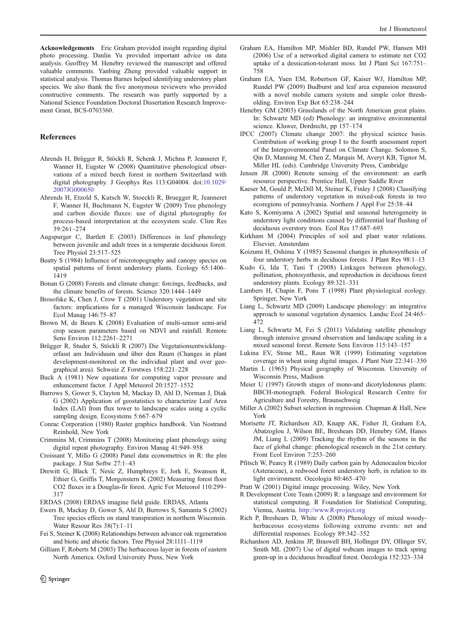<span id="page-11-0"></span>Acknowledgements Eric Graham provided insight regarding digital photo processing. Danlin Yu provided important advice on data analysis. Geoffrey M. Henebry reviewed the manuscript and offered valuable comments. Yanbing Zheng provided valuable support in statistical analysis. Thomas Barnes helped identifying understory plant species. We also thank the five anonymous reviewers who provided constructive comments. The research was partly supported by a National Science Foundation Doctoral Dissertation Research Improvement Grant, BCS-0703360.

# References

- Ahrends H, Brügger R, Stöckli R, Schenk J, Michna P, Jeanneret F, Wanner H, Eugster W (2008) Quantitative phenological observations of a mixed beech forest in northern Switzerland with digital photography. J Geophys Res 113:G04004. doi[:10.1029/](http://dx.doi.org/10.1029/2007JG000650) [2007JG000650](http://dx.doi.org/10.1029/2007JG000650)
- Ahrends H, Etzold S, Kutsch W, Stoeckli R, Bruegger R, Jeanneret F, Wanner H, Buchmann N, Eugster W (2009) Tree phenology and carbon dioxide fluxes: use of digital photography for process-based interpretation at the ecosystem scale. Clim Res 39:261–274
- Augspurger C, Bartlett E (2003) Differences in leaf phenology between juvenile and adult trees in a temperate deciduous forest. Tree Physiol 23:517–525
- Beatty S (1984) Influence of microtopography and canopy species on spatial patterns of forest understory plants. Ecology 65:1406– 1419
- Bonan G (2008) Forests and climate change: forcings, feedbacks, and the climate benefits of forests. Science 320:1444–1449
- Brosofske K, Chen J, Crow T (2001) Understory vegetation and site factors: implications for a managed Wisconsin landscape. For Ecol Manag 146:75–87
- Brown M, de Beurs K (2008) Evaluation of multi-sensor semi-arid crop season parameters based on NDVI and rainfall. Remote Sens Environ 112:2261–2271
- Brügger R, Studer S, Stöckli R (2007) Die Vegetationsentwicklungerfasst am Individuum und über den Raum (Changes in plant development-monitored on the individual plant and over geographical area). Schweiz Z Forstwes 158:221–228
- Buck A (1981) New equations for computing vapor pressure and enhancement factor. J Appl Meteorol 20:1527–1532
- Burrows S, Gower S, Clayton M, Mackay D, Ahl D, Norman J, Diak G (2002) Application of geostatistics to characterize Leaf Area Index (LAI) from flux tower to landscape scales using a cyclic sampling design. Ecosystems 5:667–679
- Conrac Corporation (1980) Raster graphics handbook. Van Nostrand Reinhold, New York
- Crimmins M, Crimmins T (2008) Monitoring plant phenology using digital repeat photography. Environ Manag 41:949–958
- Croissant Y, Millo G (2008) Panel data econometrics in R: the plm package. J Stat Softw 27:1–43
- Drewitt G, Black T, Nesic Z, Humphreys E, Jork E, Swanson R, Ethier G, Griffis T, Morgenstern K (2002) Measuring forest floor CO2 fluxes in a Douglas-fir forest. Agric For Meteorol 110:299– 317
- ERDAS (2008) ERDAS imagine field guide. ERDAS, Atlanta
- Ewers B, Mackay D, Gower S, Ahl D, Burrows S, Samanta S (2002) Tree species effects on stand transpiration in northern Wisconsin. Water Resour Res 38(7):1–11
- Fei S, Steiner K (2008) Relationships between advance oak regeneration and biotic and abiotic factors. Tree Physiol 28:1111–1119
- Gilliam F, Roberts M (2003) The herbaceous layer in forests of eastern North America. Oxford University Press, New York
- Graham EA, Hamilton MP, Mishler BD, Rundel PW, Hansen MH (2006) Use of a networked digital camera to estimate net CO2 uptake of a dessication-tolerant moss. Int J Plant Sci 167:751– 758
- Graham EA, Yuen EM, Robertson GF, Kaiser WJ, Hamilton MP, Rundel PW (2009) Budburst and leaf area expansion measured with a novel mobile camera system and simple color thresholding. Environ Exp Bot 65:238–244
- Henebry GM (2003) Grasslands of the North American great plains. In: Schwartz MD (ed) Phenology: an integrative environmental science. Kluwer, Dordrecht, pp 157–174
- IPCC (2007) Climate change 2007: the physical science basis. Contribution of working group I to the fourth assessment report of the Intergovernmental Panel on Climate Change. Solomon S, Qin D, Manning M, Chen Z, Marquis M, Averyt KB, Tignor M, Miller HL (eds). Cambridge University Press, Cambridge
- Jensen JR (2000) Remote sensing of the environment: an earth resource perspective. Prentice Hall, Upper Saddle River
- Kaeser M, Gould P, McDill M, Steiner K, Finley J (2008) Classifying patterns of understory vegetation in mixed-oak forests in two ecoregions of pennsylvania. Northern J Appl For 25:38–44
- Kato S, Komiyama A (2002) Spatial and seasonal heterogeneity in understory light conditions caused by differential leaf flushing of deciduous overstory trees. Ecol Res 17:687–693
- Kirkham M (2004) Principles of soil and plant water relations. Elsevier, Amsterdam
- Koizumi H, Oshima Y (1985) Seasonal changes in photosynthesis of four understory herbs in deciduous forests. J Plant Res 98:1–13
- Kudo G, Ida T, Tani T (2008) Linkages between phenology, pollination, photosynthesis, and reproduction in deciduous forest understory plants. Ecology 89:321–331
- Lambers H, Chapin F, Pons T (1998) Plant physiological ecology. Springer, New York
- Liang L, Schwartz MD (2009) Landscape phenology: an integrative approach to seasonal vegetation dynamics. Landsc Ecol 24:465– 472
- Liang L, Schwartz M, Fei S (2011) Validating satellite phenology through intensive ground observation and landscape scaling in a mixed seasonal forest. Remote Sens Environ 115:143–157
- Lukina EV, Stone ML, Raun WR (1999) Estimating vegetation coverage in wheat using digital images. J Plant Nutr 22:341–350
- Martin L (1965) Physical geography of Wisconsin. University of Wisconsin Press, Madison
- Meier U (1997) Growth stages of mono-and dicotyledonous plants: BBCH-monograph. Federal Biological Research Centre for Agriculture and Forestry, Braunschweig
- Miller A (2002) Subset selection in regression. Chapman & Hall, New York
- Morisette JT, Richardson AD, Knapp AK, Fisher JI, Graham EA, Abatzoglou J, Wilson BE, Breshears DD, Henebry GM, Hanes JM, Liang L (2009) Tracking the rhythm of the seasons in the face of global change: phenological research in the 21st century. Front Ecol Environ 7:253–260
- Pfitsch W, Pearcy R (1989) Daily carbon gain by Adenocaulon bicolor (Asteraceae), a redwood forest understory herb, in relation to its light environment. Oecologia 80:465–470
- Pratt W (2001) Digital image processing. Wiley, New York
- R Development Core Team (2009) R: a language and environment for statistical computing. R Foundation for Statistical Computing, Vienna, Austria. <http://www.R-project.org>
- Rich P, Breshears D, White A (2008) Phenology of mixed woodyherbaceous ecosystems following extreme events: net and differential responses. Ecology 89:342–352
- Richardson AD, Jenkins JP, Braswell BH, Hollinger DY, Ollinger SV, Smith ML (2007) Use of digital webcam images to track spring green-up in a deciduous broadleaf forest. Oecologia 152:323–334